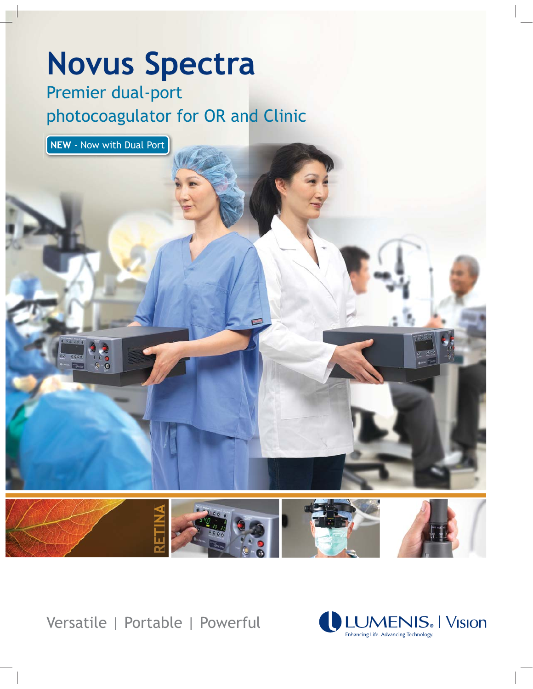# **Novus Spectra**

Premier dual-port photocoagulator for OR and Clinic



Versatile | Portable | Powerful

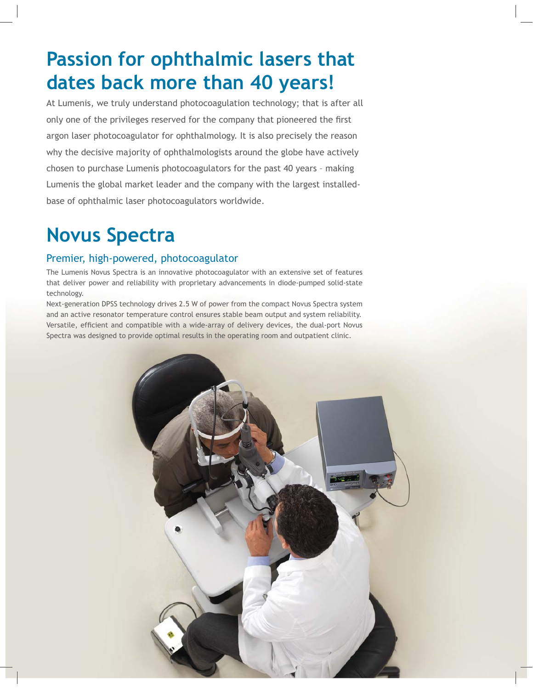# **Passion for ophthalmic lasers that dates back more than 40 years!**

At Lumenis, we truly understand photocoagulation technology; that is after all only one of the privileges reserved for the company that pioneered the first argon laser photocoagulator for ophthalmology. It is also precisely the reason why the decisive majority of ophthalmologists around the globe have actively chosen to purchase Lumenis photocoagulators for the past 40 years – making Lumenis the global market leader and the company with the largest installedbase of ophthalmic laser photocoagulators worldwide.

## **Novus Spectra**

#### Premier, high-powered, photocoagulator

The Lumenis Novus Spectra is an innovative photocoagulator with an extensive set of features that deliver power and reliability with proprietary advancements in diode-pumped solid-state technology.

Next-generation DPSS technology drives 2.5 W of power from the compact Novus Spectra system and an active resonator temperature control ensures stable beam output and system reliability. Versatile, efficient and compatible with a wide-array of delivery devices, the dual-port Novus Spectra was designed to provide optimal results in the operating room and outpatient clinic.

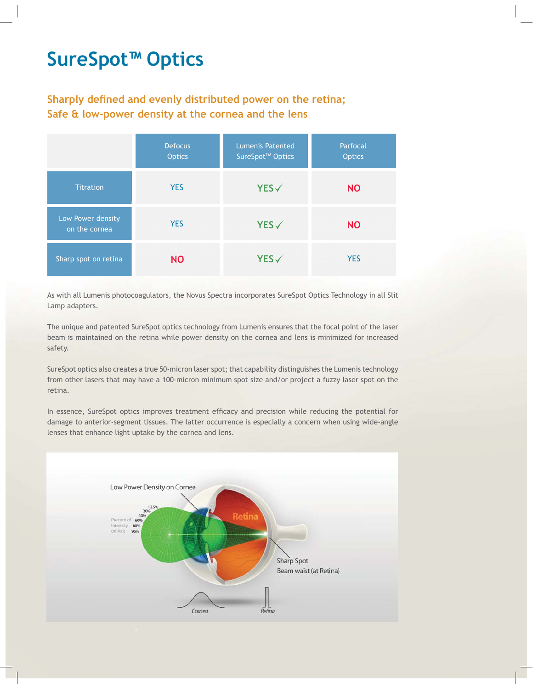# **SureSpot™ Optics**

### Sharply defined and evenly distributed power on the retina: Safe & low-power density at the cornea and the lens

|                                    | <b>Defocus</b><br><b>Optics</b> | <b>Lumenis Patented</b><br>SureSpot™ Optics | Parfocal<br><b>Optics</b> |
|------------------------------------|---------------------------------|---------------------------------------------|---------------------------|
| <b>Titration</b>                   | <b>YES</b>                      | YES√                                        | <b>NO</b>                 |
| Low Power density<br>on the cornea | <b>YES</b>                      | $YES\checkmark$                             | <b>NO</b>                 |
| Sharp spot on retina               | <b>NO</b>                       | YES√                                        | <b>YES</b>                |

As with all Lumenis photocoagulators, the Novus Spectra incorporates SureSpot Optics Technology in all Slit Lamp adapters.

The unique and patented SureSpot optics technology from Lumenis ensures that the focal point of the laser beam is maintained on the retina while power density on the cornea and lens is minimized for increased safety.

SureSpot optics also creates a true 50-micron laser spot; that capability distinguishes the Lumenis technology from other lasers that may have a 100-micron minimum spot size and/or project a fuzzy laser spot on the retina.

In essence, SureSpot optics improves treatment efficacy and precision while reducing the potential for damage to anterior-segment tissues. The latter occurrence is especially a concern when using wide-angle lenses that enhance light uptake by the cornea and lens.

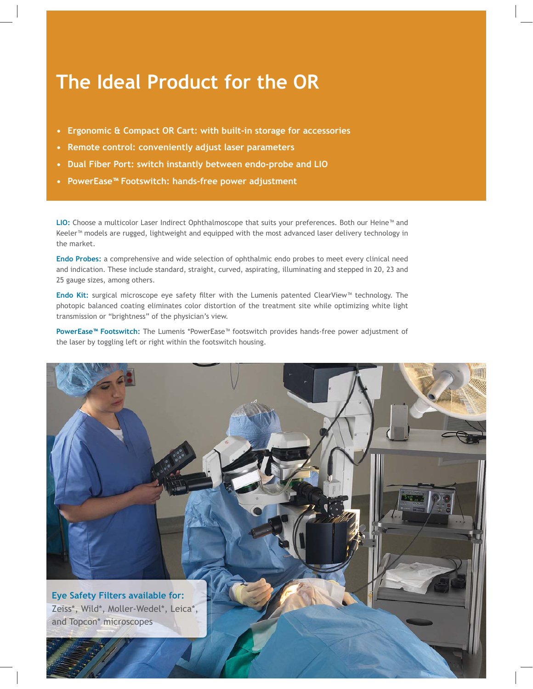### **The Ideal Product for the OR**

- Ergonomic & Compact OR Cart: with built-in storage for accessories
- Remote control: conveniently adjust laser parameters
- Dual Fiber Port: switch instantly between endo-probe and LIO
- PowerEase<sup>™</sup> Footswitch: hands-free power adjustment

**)\*"\$** Choose a multicolor Laser Indirect Ophthalmoscope that suits your preferences. Both our Heine™ and Keeler™ models are rugged, lightweight and equipped with the most advanced laser delivery technology in the market.

Endo Probes: a comprehensive and wide selection of ophthalmic endo probes to meet every clinical need and indication. These include standard, straight, curved, aspirating, illuminating and stepped in 20, 23 and 25 gauge sizes, among others.

**Endo Kit:** surgical microscope eye safety filter with the Lumenis patented ClearView™ technology. The photopic balanced coating eliminates color distortion of the treatment site while optimizing white light transmission or "brightness" of the physician's view.

**PowerEase™ Footswitch:** The Lumenis \*PowerEase™ footswitch provides hands-free power adjustment of the laser by toggling left or right within the footswitch housing.

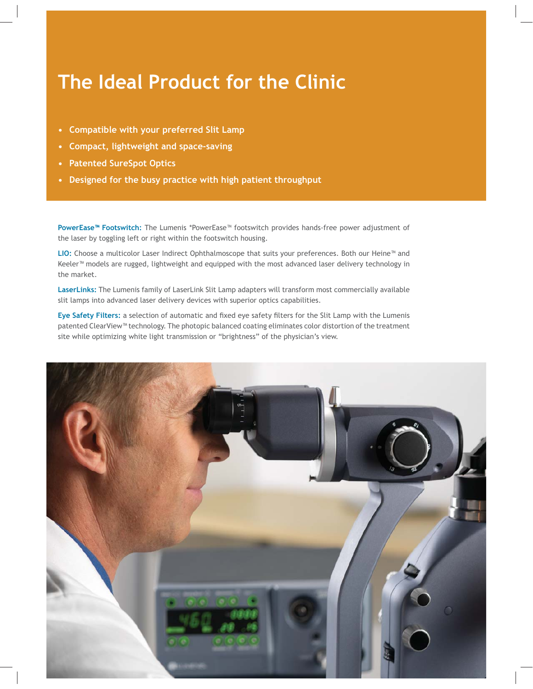# **The Ideal Product for the Clinic**

- Compatible with your preferred Slit Lamp
- Compact, lightweight and space-saving
- Patented SureSpot Optics
- Designed for the busy practice with high patient throughput

**PowerEase™ Footswitch:** The Lumenis \*PowerEase™ footswitch provides hands-free power adjustment of the laser by toggling left or right within the footswitch housing.

LIO: Choose a multicolor Laser Indirect Ophthalmoscope that suits your preferences. Both our Heine™ and Keeler<sup>™</sup> models are rugged, lightweight and equipped with the most advanced laser delivery technology in the market.

LaserLinks: The Lumenis family of LaserLink Slit Lamp adapters will transform most commercially available slit lamps into advanced laser delivery devices with superior optics capabilities.

Eye Safety Filters: a selection of automatic and fixed eye safety filters for the Slit Lamp with the Lumenis patented ClearView™ technology. The photopic balanced coating eliminates color distortion of the treatment site while optimizing white light transmission or "brightness" of the physician's view.

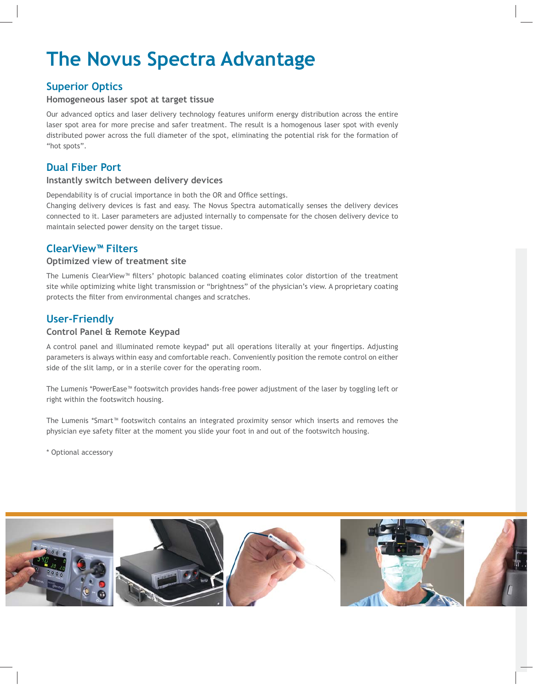# **The Novus Spectra Advantage**

### **Superior Optics**

#### Homogeneous laser spot at target tissue

Our advanced optics and laser delivery technology features uniform energy distribution across the entire laser spot area for more precise and safer treatment. The result is a homogenous laser spot with evenly distributed power across the full diameter of the spot, eliminating the potential risk for the formation of "hot spots".

### **Dual Fiber Port**

#### Instantly switch between delivery devices

Dependability is of crucial importance in both the OR and Office settings.

Changing delivery devices is fast and easy. The Novus Spectra automatically senses the delivery devices connected to it. Laser parameters are adjusted internally to compensate for the chosen delivery device to maintain selected power density on the target tissue.

### **ClearView<sup>™</sup> Filters**

#### **Optimized view of treatment site**

The Lumenis ClearView™ filters' photopic balanced coating eliminates color distortion of the treatment site while optimizing white light transmission or "brightness" of the physician's view. A proprietary coating protects the filter from environmental changes and scratches.

### User-Friendly

#### **Control Panel & Remote Keypad**

A control panel and illuminated remote keypad\* put all operations literally at your fingertips. Adjusting parameters is always within easy and comfortable reach. Conveniently position the remote control on either side of the slit lamp, or in a sterile cover for the operating room.

The Lumenis \*PowerEase™ footswitch provides hands-free power adjustment of the laser by toggling left or right within the footswitch housing.

The Lumenis \*Smart™ footswitch contains an integrated proximity sensor which inserts and removes the physician eye safety filter at the moment you slide your foot in and out of the footswitch housing.

\* Optional accessory

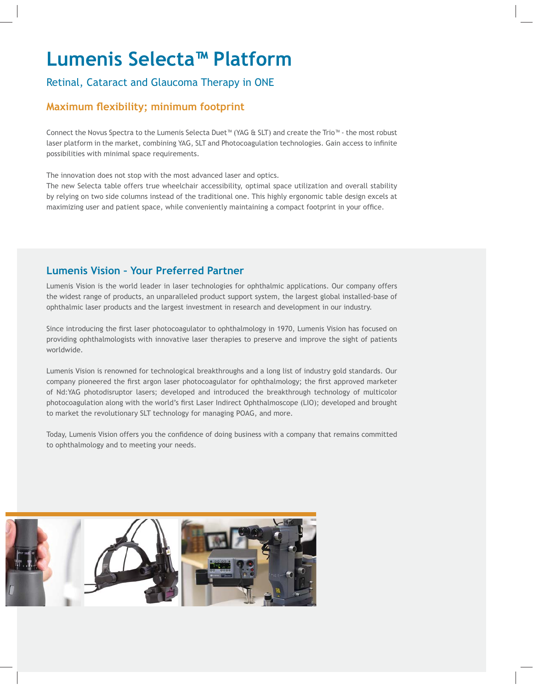# **Lumenis Selecta<sup>™</sup> Platform**

### Retinal, Cataract and Glaucoma Therapy in ONE

#### **Maximum flexibility; minimum footprint**

Connect the Novus Spectra to the Lumenis Selecta Duet™ (YAG & SLT) and create the Trio™ - the most robust laser platform in the market, combining YAG, SLT and Photocoagulation technologies. Gain access to infinite possibilities with minimal space requirements.

The innovation does not stop with the most advanced laser and optics.

The new Selecta table offers true wheelchair accessibility, optimal space utilization and overall stability by relying on two side columns instead of the traditional one. This highly ergonomic table design excels at maximizing user and patient space, while conveniently maintaining a compact footprint in your office.

### **Lumenis Vision - Your Preferred Partner**

Lumenis Vision is the world leader in laser technologies for ophthalmic applications. Our company offers the widest range of products, an unparalleled product support system, the largest global installed-base of ophthalmic laser products and the largest investment in research and development in our industry.

Since introducing the first laser photocoagulator to ophthalmology in 1970, Lumenis Vision has focused on providing ophthalmologists with innovative laser therapies to preserve and improve the sight of patients worldwide.

Lumenis Vision is renowned for technological breakthroughs and a long list of industry gold standards. Our company pioneered the first argon laser photocoagulator for ophthalmology; the first approved marketer of Nd:YAG photodisruptor lasers; developed and introduced the breakthrough technology of multicolor photocoagulation along with the world's first Laser Indirect Ophthalmoscope (LIO); developed and brought to market the revolutionary SLT technology for managing POAG, and more.

Today, Lumenis Vision offers you the confidence of doing business with a company that remains committed to ophthalmology and to meeting your needs.